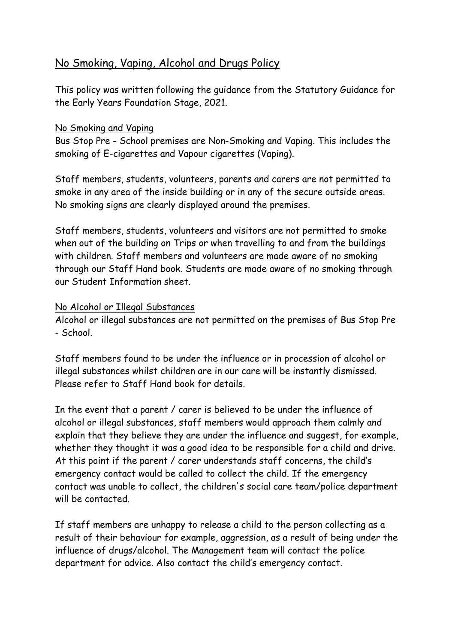## No Smoking, Vaping, Alcohol and Drugs Policy

This policy was written following the guidance from the Statutory Guidance for the Early Years Foundation Stage, 2021.

## No Smoking and Vaping

Bus Stop Pre - School premises are Non-Smoking and Vaping. This includes the smoking of E-cigarettes and Vapour cigarettes (Vaping).

Staff members, students, volunteers, parents and carers are not permitted to smoke in any area of the inside building or in any of the secure outside areas. No smoking signs are clearly displayed around the premises.

Staff members, students, volunteers and visitors are not permitted to smoke when out of the building on Trips or when travelling to and from the buildings with children. Staff members and volunteers are made aware of no smoking through our Staff Hand book. Students are made aware of no smoking through our Student Information sheet.

## No Alcohol or Illegal Substances

Alcohol or illegal substances are not permitted on the premises of Bus Stop Pre - School.

Staff members found to be under the influence or in procession of alcohol or illegal substances whilst children are in our care will be instantly dismissed. Please refer to Staff Hand book for details.

In the event that a parent / carer is believed to be under the influence of alcohol or illegal substances, staff members would approach them calmly and explain that they believe they are under the influence and suggest, for example, whether they thought it was a good idea to be responsible for a child and drive. At this point if the parent / carer understands staff concerns, the child's emergency contact would be called to collect the child. If the emergency contact was unable to collect, the children's social care team/police department will be contacted.

If staff members are unhappy to release a child to the person collecting as a result of their behaviour for example, aggression, as a result of being under the influence of drugs/alcohol. The Management team will contact the police department for advice. Also contact the child's emergency contact.